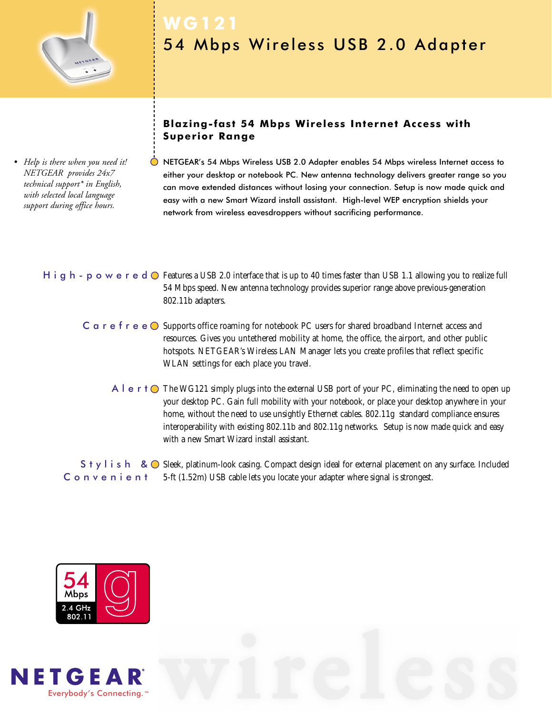

*• Help is there when you need it! NETGEAR provides 24x7 technical support\* in English, with selected local language support during office hours.*

# **WG121** 54 Mbps Wireless USB 2.0 Adapter

## **Blazing-fast 54 Mbps Wireless Internet Access with Superior Range**

NETGEAR's 54 Mbps Wireless USB 2.0 Adapter enables 54 Mbps wireless Internet access to either your desktop or notebook PC. New antenna technology delivers greater range so you can move extended distances without losing your connection. Setup is now made quick and easy with a new Smart Wizard install assistant. High-level WEP encryption shields your network from wireless eavesdroppers without sacrificing performance.

### H i g h - p o w e r e d  $\odot$  Features a USB 2.0 interface that is up to 40 times faster than USB 1.1 allowing you to realize full 54 Mbps speed. New antenna technology provides superior range above previous-generation 802.11b adapters.

- $C$   $\alpha$  r  $e$  f r  $e \odot$  Supports office roaming for notebook PC users for shared broadband Internet access and resources. Gives you untethered mobility at home, the office, the airport, and other public hotspots. NETGEAR's Wireless LAN Manager lets you create profiles that reflect specific WLAN settings for each place you travel.
	- A l  $\,$  e  $\,$  r t  $\,$   $\,$   $\,$  The WG121 simply plugs into the external USB port of your PC, eliminating the need to open up your desktop PC. Gain full mobility with your notebook, or place your desktop anywhere in your home, without the need to use unsightly Ethernet cables. 802.11g standard compliance ensures interoperability with existing 802.11b and 802.11g networks. Setup is now made quick and easy with a new Smart Wizard install assistant.

 $S$  †  $y$  l i s h &  $\bigcirc$  Sleek, platinum-look casing. Compact design ideal for external placement on any surface. Included 5-ft (1.52m) USB cable lets you locate your adapter where signal is strongest. Convenient